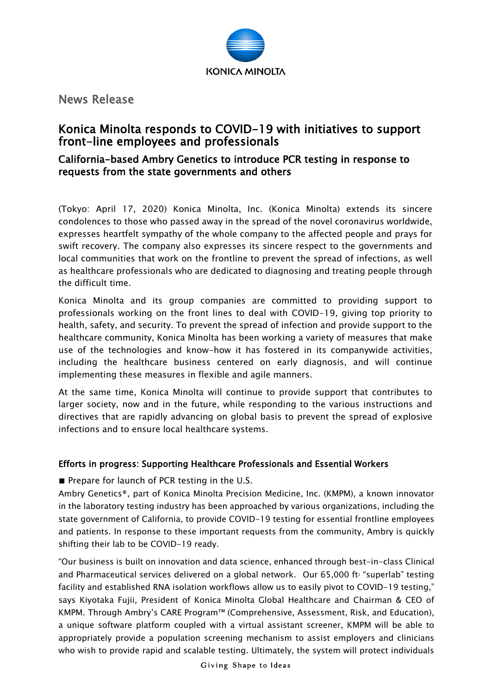

News Release

## Konica Minolta responds to COVID-19 with initiatives to support front-line employees and professionals

## California-based Ambry Genetics to introduce PCR testing in response to requests from the state governments and others

(Tokyo: April 17, 2020) Konica Minolta, Inc. (Konica Minolta) extends its sincere condolences to those who passed away in the spread of the novel coronavirus worldwide, expresses heartfelt sympathy of the whole company to the affected people and prays for swift recovery. The company also expresses its sincere respect to the governments and local communities that work on the frontline to prevent the spread of infections, as well as healthcare professionals who are dedicated to diagnosing and treating people through the difficult time.

Konica Minolta and its group companies are committed to providing support to professionals working on the front lines to deal with COVID-19, giving top priority to health, safety, and security. To prevent the spread of infection and provide support to the healthcare community, Konica Minolta has been working a variety of measures that make use of the technologies and know-how it has fostered in its companywide activities, including the healthcare business centered on early diagnosis, and will continue implementing these measures in flexible and agile manners.

At the same time, Konica Minolta will continue to provide support that contributes to larger society, now and in the future, while responding to the various instructions and directives that are rapidly advancing on global basis to prevent the spread of explosive infections and to ensure local healthcare systems.

## Efforts in progress: Supporting Healthcare Professionals and Essential Workers

■ Prepare for launch of PCR testing in the U.S.

Ambry Genetics®, part of Konica Minolta Precision Medicine, Inc. (KMPM), a known innovator in the laboratory testing industry has been approached by various organizations, including the state government of California, to provide COVID-19 testing for essential frontline employees and patients. In response to these important requests from the community, Ambry is quickly shifting their lab to be COVID-19 ready.

"Our business is built on innovation and data science, enhanced through best-in-class Clinical and Pharmaceutical services delivered on a global network. Our 65,000 ft<sup>2</sup> "superlab" testing facility and established RNA isolation workflows allow us to easily pivot to COVID-19 testing," says Kiyotaka Fujii, President of Konica Minolta Global Healthcare and Chairman & CEO of KMPM. Through Ambry's CARE Program™ (Comprehensive, Assessment, Risk, and Education), a unique software platform coupled with a virtual assistant screener, KMPM will be able to appropriately provide a population screening mechanism to assist employers and clinicians who wish to provide rapid and scalable testing. Ultimately, the system will protect individuals